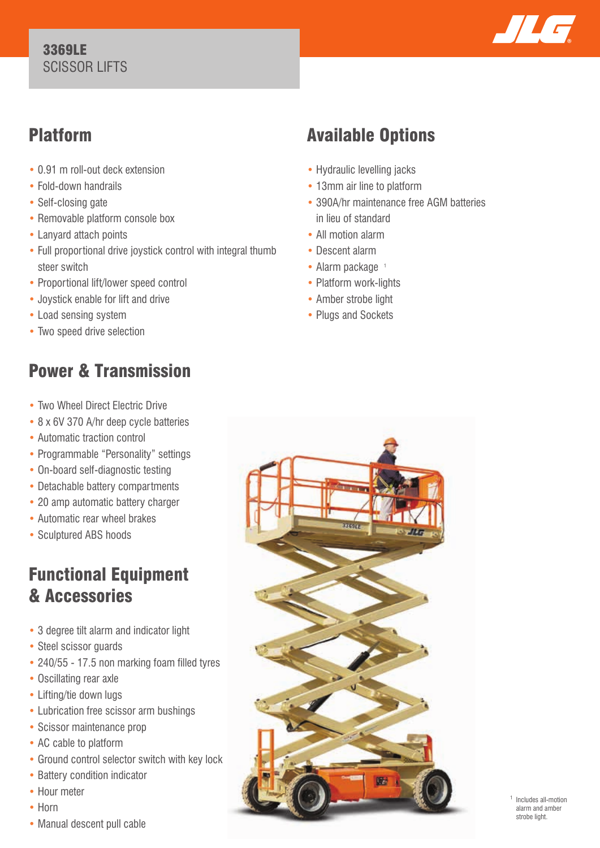### 3369LE SCISSOR LIFTS



## Platform

- 0.91 m roll-out deck extension
- Fold-down handrails
- Self-closing gate
- Removable platform console box
- Lanyard attach points
- Full proportional drive joystick control with integral thumb steer switch
- Proportional lift/lower speed control
- Joystick enable for lift and drive
- Load sensing system
- Two speed drive selection

# Power & Transmission

- Two Wheel Direct Electric Drive
- 8 x 6V 370 A/hr deep cycle batteries
- Automatic traction control
- Programmable "Personality" settings
- On-board self-diagnostic testing
- Detachable battery compartments
- 20 amp automatic battery charger
- Automatic rear wheel brakes
- Sculptured ABS hoods

## Functional Equipment & Accessories

- 3 degree tilt alarm and indicator light
- Steel scissor guards
- 240/55 17.5 non marking foam filled tyres
- Oscillating rear axle
- Lifting/tie down lugs
- Lubrication free scissor arm bushings
- Scissor maintenance prop
- AC cable to platform
- Ground control selector switch with key lock
- Battery condition indicator
- Hour meter
- Horn
- Manual descent pull cable

# Available Options

- Hydraulic levelling jacks
- 13mm air line to platform
- 390A/hr maintenance free AGM batteries in lieu of standard
- All motion alarm
- Descent alarm
- $\bullet$  Alarm package  $\pm$
- Platform work-lights
- Amber strobe light
- Plugs and Sockets



 Includes all-motion alarm and amber strobe light.

1